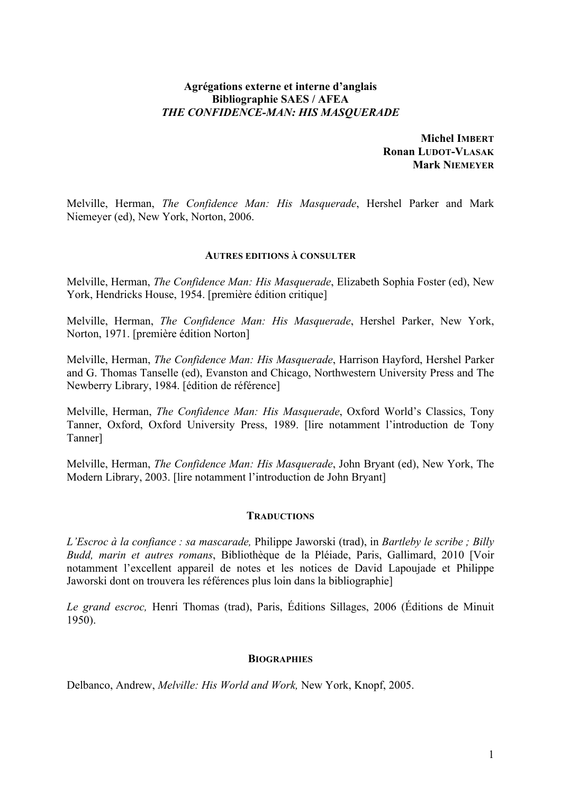# **Agrégations externe et interne d'anglais Bibliographie SAES / AFEA** *THE CONFIDENCE-MAN: HIS MASQUERADE*

**Michel IMBERT Ronan LUDOT-VLASAK Mark NIEMEYER**

Melville, Herman, *The Confidence Man: His Masquerade*, Hershel Parker and Mark Niemeyer (ed), New York, Norton, 2006.

### **AUTRES EDITIONS À CONSULTER**

Melville, Herman, *The Confidence Man: His Masquerade*, Elizabeth Sophia Foster (ed), New York, Hendricks House, 1954. [première édition critique]

Melville, Herman, *The Confidence Man: His Masquerade*, Hershel Parker, New York, Norton, 1971. [première édition Norton]

Melville, Herman, *The Confidence Man: His Masquerade*, Harrison Hayford, Hershel Parker and G. Thomas Tanselle (ed), Evanston and Chicago, Northwestern University Press and The Newberry Library, 1984. [édition de référence]

Melville, Herman, *The Confidence Man: His Masquerade*, Oxford World's Classics, Tony Tanner, Oxford, Oxford University Press, 1989. [lire notamment l'introduction de Tony Tanner]

Melville, Herman, *The Confidence Man: His Masquerade*, John Bryant (ed), New York, The Modern Library, 2003. [lire notamment l'introduction de John Bryant]

## **TRADUCTIONS**

*L'Escroc à la confiance : sa mascarade,* Philippe Jaworski (trad), in *Bartleby le scribe ; Billy Budd, marin et autres romans*, Bibliothèque de la Pléiade, Paris, Gallimard, 2010 [Voir notamment l'excellent appareil de notes et les notices de David Lapoujade et Philippe Jaworski dont on trouvera les références plus loin dans la bibliographie]

*Le grand escroc,* Henri Thomas (trad), Paris, Éditions Sillages, 2006 (Éditions de Minuit 1950).

#### **BIOGRAPHIES**

Delbanco, Andrew, *Melville: His World and Work,* New York, Knopf, 2005.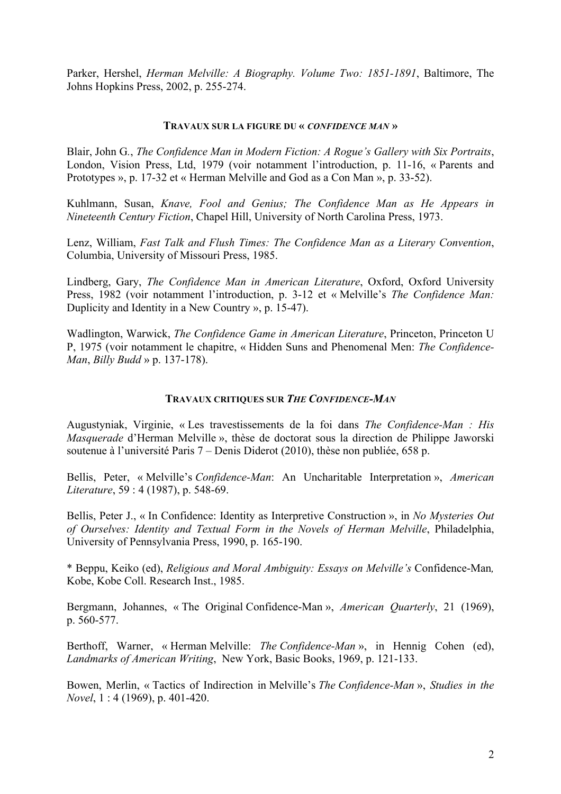Parker, Hershel, *Herman Melville: A Biography. Volume Two: 1851-1891*, Baltimore, The Johns Hopkins Press, 2002, p. 255-274.

### **TRAVAUX SUR LA FIGURE DU «** *CONFIDENCE MAN* **»**

Blair, John G*.*, *The Confidence Man in Modern Fiction: A Rogue's Gallery with Six Portraits*, London, Vision Press, Ltd, 1979 (voir notamment l'introduction, p. 11-16, « Parents and Prototypes », p. 17-32 et « Herman Melville and God as a Con Man », p. 33-52).

Kuhlmann, Susan, *Knave, Fool and Genius; The Confidence Man as He Appears in Nineteenth Century Fiction*, Chapel Hill, University of North Carolina Press, 1973.

Lenz, William, *Fast Talk and Flush Times: The Confidence Man as a Literary Convention*, Columbia, University of Missouri Press, 1985.

Lindberg, Gary, *The Confidence Man in American Literature*, Oxford, Oxford University Press, 1982 (voir notamment l'introduction, p. 3-12 et « Melville's *The Confidence Man:*  Duplicity and Identity in a New Country », p. 15-47).

Wadlington, Warwick, *The Confidence Game in American Literature*, Princeton, Princeton U P, 1975 (voir notamment le chapitre, « Hidden Suns and Phenomenal Men: *The Confidence-Man*, *Billy Budd* » p. 137-178).

# **TRAVAUX CRITIQUES SUR** *THE CONFIDENCE-MAN*

Augustyniak, Virginie, « Les travestissements de la foi dans *The Confidence-Man : His Masquerade* d'Herman Melville », thèse de doctorat sous la direction de Philippe Jaworski soutenue à l'université Paris 7 – Denis Diderot (2010), thèse non publiée, 658 p.

Bellis, Peter, « Melville's *Confidence-Man*: An Uncharitable Interpretation », *American Literature*, 59 : 4 (1987), p. 548-69.

Bellis, Peter J., « In Confidence: Identity as Interpretive Construction », in *No Mysteries Out of Ourselves: Identity and Textual Form in the Novels of Herman Melville*, Philadelphia, University of Pennsylvania Press, 1990, p. 165-190.

\* Beppu, Keiko (ed), *Religious and Moral Ambiguity: Essays on Melville's* Confidence-Man*,*  Kobe, Kobe Coll. Research Inst., 1985.

Bergmann, Johannes, « The Original Confidence-Man », *American Quarterly*, 21 (1969), p. 560-577.

Berthoff, Warner, « Herman Melville: *The Confidence-Man* », in Hennig Cohen (ed), *Landmarks of American Writing*, New York, Basic Books, 1969, p. 121-133.

Bowen, Merlin, « Tactics of Indirection in Melville's *The Confidence-Man* », *Studies in the Novel*, 1 : 4 (1969), p. 401-420.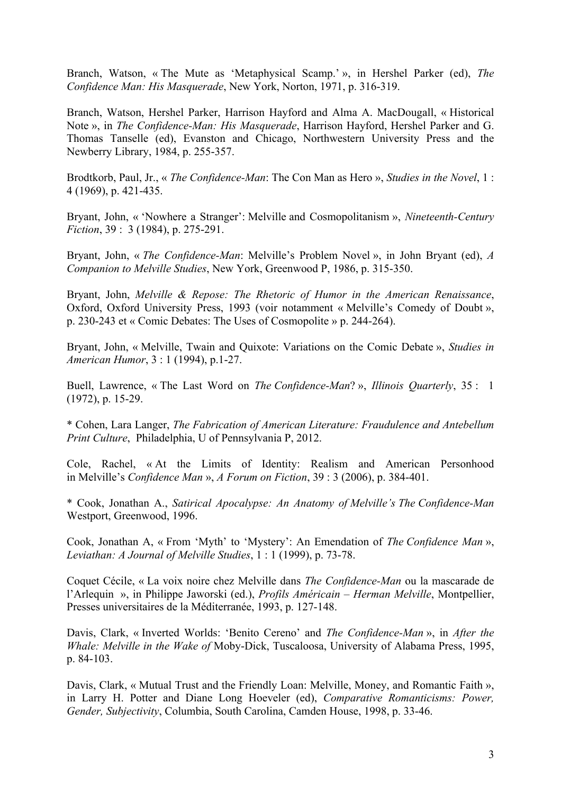Branch, Watson, « The Mute as 'Metaphysical Scamp.' », in Hershel Parker (ed), *The Confidence Man: His Masquerade*, New York, Norton, 1971, p. 316-319.

Branch, Watson, Hershel Parker, Harrison Hayford and Alma A. MacDougall, « Historical Note », in *The Confidence-Man: His Masquerade*, Harrison Hayford, Hershel Parker and G. Thomas Tanselle (ed), Evanston and Chicago, Northwestern University Press and the Newberry Library, 1984, p. 255-357.

Brodtkorb, Paul, Jr., « *The Confidence-Man*: The Con Man as Hero », *Studies in the Novel*, 1 : 4 (1969), p. 421-435.

Bryant, John, « 'Nowhere a Stranger': Melville and Cosmopolitanism », *Nineteenth-Century Fiction*, 39 : 3 (1984), p. 275-291.

Bryant, John, « *The Confidence-Man*: Melville's Problem Novel », in John Bryant (ed), *A Companion to Melville Studies*, New York, Greenwood P, 1986, p. 315-350.

Bryant, John, *Melville & Repose: The Rhetoric of Humor in the American Renaissance*, Oxford, Oxford University Press, 1993 (voir notamment « Melville's Comedy of Doubt », p. 230-243 et « Comic Debates: The Uses of Cosmopolite » p. 244-264).

Bryant, John, « Melville, Twain and Quixote: Variations on the Comic Debate », *Studies in American Humor*, 3 : 1 (1994), p.1-27.

Buell, Lawrence, « The Last Word on *The Confidence-Man*? », *Illinois Quarterly*, 35 : 1 (1972), p. 15-29.

\* Cohen, Lara Langer, *The Fabrication of American Literature: Fraudulence and Antebellum Print Culture*, Philadelphia, U of Pennsylvania P, 2012.

Cole, Rachel, « At the Limits of Identity: Realism and American Personhood in Melville's *Confidence Man* », *A Forum on Fiction*, 39 : 3 (2006), p. 384-401.

\* Cook, Jonathan A., *Satirical Apocalypse: An Anatomy of Melville's The Confidence-Man* Westport, Greenwood, 1996.

Cook, Jonathan A, « From 'Myth' to 'Mystery': An Emendation of *The Confidence Man* », *Leviathan: A Journal of Melville Studies*, 1 : 1 (1999), p. 73-78.

Coquet Cécile, « La voix noire chez Melville dans *The Confidence-Man* ou la mascarade de l'Arlequin », in Philippe Jaworski (ed.), *Profils Américain – Herman Melville*, Montpellier, Presses universitaires de la Méditerranée, 1993, p. 127-148.

Davis, Clark, « Inverted Worlds: 'Benito Cereno' and *The Confidence-Man* », in *After the Whale: Melville in the Wake of* Moby-Dick, Tuscaloosa, University of Alabama Press, 1995, p. 84-103.

Davis, Clark, « Mutual Trust and the Friendly Loan: Melville, Money, and Romantic Faith », in Larry H. Potter and Diane Long Hoeveler (ed), *Comparative Romanticisms: Power, Gender, Subjectivity*, Columbia, South Carolina, Camden House, 1998, p. 33-46.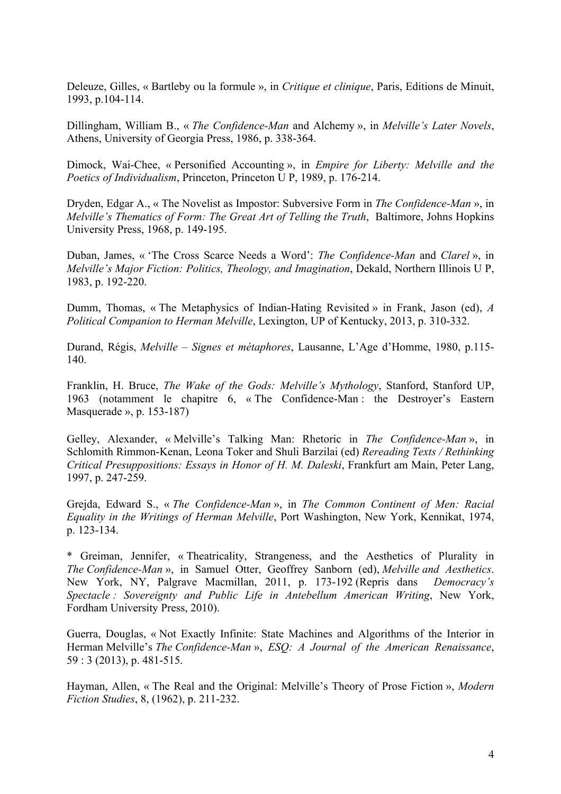Deleuze, Gilles, « Bartleby ou la formule », in *Critique et clinique*, Paris, Editions de Minuit, 1993, p.104-114.

Dillingham, William B., « *The Confidence-Man* and Alchemy », in *Melville's Later Novels*, Athens, University of Georgia Press, 1986, p. 338-364.

Dimock, Wai-Chee, « Personified Accounting », in *Empire for Liberty: Melville and the Poetics of Individualism*, Princeton, Princeton U P, 1989, p. 176-214.

Dryden, Edgar A., « The Novelist as Impostor: Subversive Form in *The Confidence-Man* », in *Melville's Thematics of Form: The Great Art of Telling the Truth*, Baltimore, Johns Hopkins University Press, 1968, p. 149-195.

Duban, James, « 'The Cross Scarce Needs a Word': *The Confidence-Man* and *Clarel* », in *Melville's Major Fiction: Politics, Theology, and Imagination*, Dekald, Northern Illinois U P, 1983, p. 192-220.

Dumm, Thomas, « The Metaphysics of Indian-Hating Revisited » in Frank, Jason (ed), *A Political Companion to Herman Melville*, Lexington, UP of Kentucky, 2013, p. 310-332.

Durand, Régis, *Melville – Signes et métaphores*, Lausanne, L'Age d'Homme, 1980, p.115- 140.

Franklin, H. Bruce, *The Wake of the Gods: Melville's Mythology*, Stanford, Stanford UP, 1963 (notamment le chapitre 6, « The Confidence-Man : the Destroyer's Eastern Masquerade », p. 153-187)

Gelley, Alexander, « Melville's Talking Man: Rhetoric in *The Confidence-Man* », in Schlomith Rimmon-Kenan, Leona Toker and Shuli Barzilai (ed) *Rereading Texts / Rethinking Critical Presuppositions: Essays in Honor of H. M. Daleski*, Frankfurt am Main, Peter Lang, 1997, p. 247-259.

Grejda, Edward S., « *The Confidence-Man* », in *The Common Continent of Men: Racial Equality in the Writings of Herman Melville*, Port Washington, New York, Kennikat, 1974, p. 123-134.

\* Greiman, Jennifer, « Theatricality, Strangeness, and the Aesthetics of Plurality in *The Confidence-Man* », in Samuel Otter, Geoffrey Sanborn (ed), *Melville and Aesthetics*. New York, NY, Palgrave Macmillan, 2011, p. 173-192 (Repris dans *Democracy's Spectacle : Sovereignty and Public Life in Antebellum American Writing*, New York, Fordham University Press, 2010).

Guerra, Douglas, « Not Exactly Infinite: State Machines and Algorithms of the Interior in Herman Melville's *The Confidence-Man* », *ESQ: A Journal of the American Renaissance*, 59 : 3 (2013), p. 481-515.

Hayman, Allen, « The Real and the Original: Melville's Theory of Prose Fiction », *Modern Fiction Studies*, 8, (1962), p. 211-232.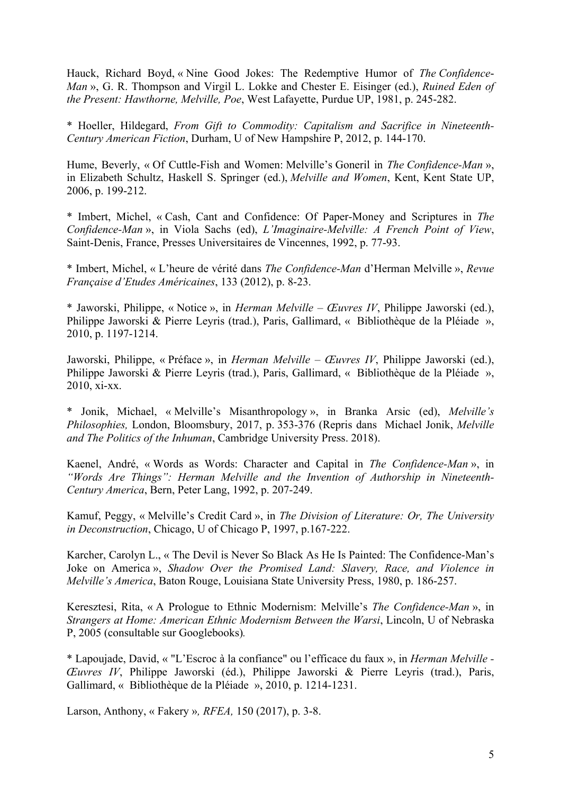Hauck, Richard Boyd, « Nine Good Jokes: The Redemptive Humor of *The Confidence*-*Man* », G. R. Thompson and Virgil L. Lokke and Chester E. Eisinger (ed.), *Ruined Eden of the Present: Hawthorne, Melville, Poe*, West Lafayette, Purdue UP, 1981, p. 245-282.

\* Hoeller, Hildegard, *From Gift to Commodity: Capitalism and Sacrifice in Nineteenth-Century American Fiction*, Durham, U of New Hampshire P, 2012, p. 144-170.

Hume, Beverly, « Of Cuttle-Fish and Women: Melville's Goneril in *The Confidence-Man* », in Elizabeth Schultz, Haskell S. Springer (ed.), *Melville and Women*, Kent, Kent State UP, 2006, p. 199-212.

\* Imbert, Michel, « Cash, Cant and Confidence: Of Paper-Money and Scriptures in *The Confidence-Man* », in Viola Sachs (ed), *L'Imaginaire-Melville: A French Point of View*, Saint-Denis, France, Presses Universitaires de Vincennes, 1992, p. 77-93.

\* Imbert, Michel, « L'heure de vérité dans *The Confidence-Man* d'Herman Melville », *Revue Française d'Etudes Américaines*, 133 (2012), p. 8-23.

\* Jaworski, Philippe, « Notice », in *Herman Melville – Œuvres IV*, Philippe Jaworski (ed.), Philippe Jaworski & Pierre Leyris (trad.), Paris, Gallimard, « Bibliothèque de la Pléiade », 2010, p. 1197-1214.

Jaworski, Philippe, « Préface », in *Herman Melville – Œuvres IV*, Philippe Jaworski (ed.), Philippe Jaworski & Pierre Leyris (trad.), Paris, Gallimard, « Bibliothèque de la Pléiade », 2010, xi-xx.

\* Jonik, Michael, « Melville's Misanthropology », in Branka Arsic (ed), *Melville's Philosophies,* London, Bloomsbury, 2017, p. 353-376 (Repris dans Michael Jonik, *Melville and The Politics of the Inhuman*, Cambridge University Press. 2018).

Kaenel, André, « Words as Words: Character and Capital in *The Confidence-Man* », in *"Words Are Things": Herman Melville and the Invention of Authorship in Nineteenth-Century America*, Bern, Peter Lang, 1992, p. 207-249.

Kamuf, Peggy, « Melville's Credit Card », in *The Division of Literature: Or, The University in Deconstruction*, Chicago, U of Chicago P, 1997, p.167-222.

Karcher, Carolyn L., « The Devil is Never So Black As He Is Painted: The Confidence-Man's Joke on America », *Shadow Over the Promised Land: Slavery, Race, and Violence in Melville's America*, Baton Rouge, Louisiana State University Press, 1980, p. 186-257.

Keresztesi, Rita, « A Prologue to Ethnic Modernism: Melville's *The Confidence-Man* », in *Strangers at Home: American Ethnic Modernism Between the Warsi*, Lincoln, U of Nebraska P, 2005 (consultable sur Googlebooks)*.*

\* Lapoujade, David, « "L'Escroc à la confiance" ou l'efficace du faux », in *Herman Melville - Œuvres IV*, Philippe Jaworski (éd.), Philippe Jaworski & Pierre Leyris (trad.), Paris, Gallimard, « Bibliothèque de la Pléiade », 2010, p. 1214-1231.

Larson, Anthony, « Fakery »*, RFEA,* 150 (2017), p. 3-8.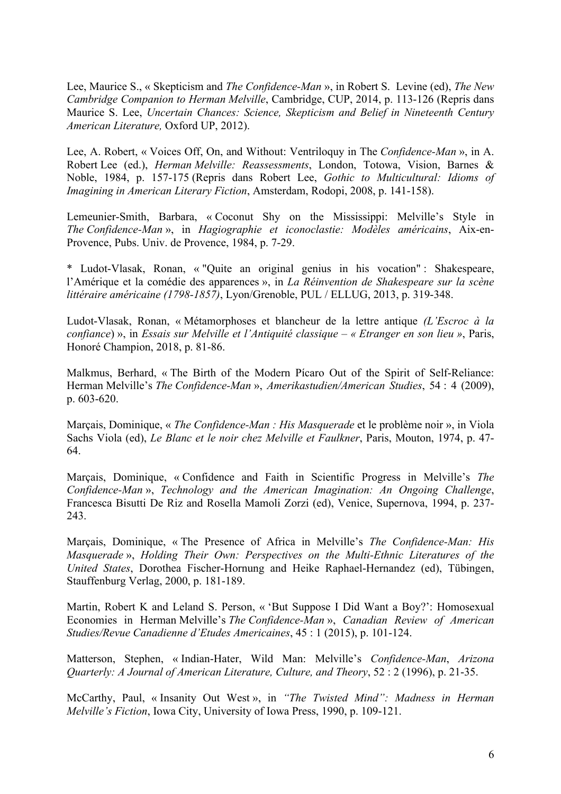Lee, Maurice S., « Skepticism and *The Confidence-Man* », in Robert S. Levine (ed), *The New Cambridge Companion to Herman Melville*, Cambridge, CUP, 2014, p. 113-126 (Repris dans Maurice S. Lee, *Uncertain Chances: Science, Skepticism and Belief in Nineteenth Century American Literature,* Oxford UP, 2012).

Lee, A. Robert, « Voices Off, On, and Without: Ventriloquy in The *Confidence-Man* », in A. Robert Lee (ed.), *Herman Melville: Reassessments*, London, Totowa, Vision, Barnes & Noble, 1984, p. 157-175 (Repris dans Robert Lee, *Gothic to Multicultural: Idioms of Imagining in American Literary Fiction*, Amsterdam, Rodopi, 2008, p. 141-158).

Lemeunier-Smith, Barbara, « Coconut Shy on the Mississippi: Melville's Style in *The Confidence-Man* », in *Hagiographie et iconoclastie: Modèles américains*, Aix-en-Provence, Pubs. Univ. de Provence, 1984, p. 7-29.

\* Ludot-Vlasak, Ronan, « "Quite an original genius in his vocation" : Shakespeare, l'Amérique et la comédie des apparences », in *La Réinvention de Shakespeare sur la scène littéraire américaine (1798-1857)*, Lyon/Grenoble, PUL / ELLUG, 2013, p. 319-348.

Ludot-Vlasak, Ronan, « Métamorphoses et blancheur de la lettre antique *(L'Escroc à la confiance*) », in *Essais sur Melville et l'Antiquité classique – « Etranger en son lieu »*, Paris, Honoré Champion, 2018, p. 81-86.

Malkmus, Berhard, « The Birth of the Modern Pícaro Out of the Spirit of Self-Reliance: Herman Melville's *The Confidence-Man* », *Amerikastudien/American Studies*, 54 : 4 (2009), p. 603-620.

Marçais, Dominique, « *The Confidence-Man : His Masquerade* et le problème noir », in Viola Sachs Viola (ed), *Le Blanc et le noir chez Melville et Faulkner*, Paris, Mouton, 1974, p. 47- 64.

Marçais, Dominique, « Confidence and Faith in Scientific Progress in Melville's *The Confidence-Man* », *Technology and the American Imagination: An Ongoing Challenge*, Francesca Bisutti De Riz and Rosella Mamoli Zorzi (ed), Venice, Supernova, 1994, p. 237- 243.

Marçais, Dominique, « The Presence of Africa in Melville's *The Confidence-Man: His Masquerade* », *Holding Their Own: Perspectives on the Multi-Ethnic Literatures of the United States*, Dorothea Fischer-Hornung and Heike Raphael-Hernandez (ed), Tübingen, Stauffenburg Verlag, 2000, p. 181-189.

Martin, Robert K and Leland S. Person, « 'But Suppose I Did Want a Boy?': Homosexual Economies in Herman Melville's *The Confidence-Man* », *Canadian Review of American Studies/Revue Canadienne d'Etudes Americaines*, 45 : 1 (2015), p. 101-124.

Matterson, Stephen, « Indian-Hater, Wild Man: Melville's *Confidence-Man*, *Arizona Quarterly: A Journal of American Literature, Culture, and Theory*, 52 : 2 (1996), p. 21-35.

McCarthy, Paul, « Insanity Out West », in *"The Twisted Mind": Madness in Herman Melville's Fiction*, Iowa City, University of Iowa Press, 1990, p. 109-121.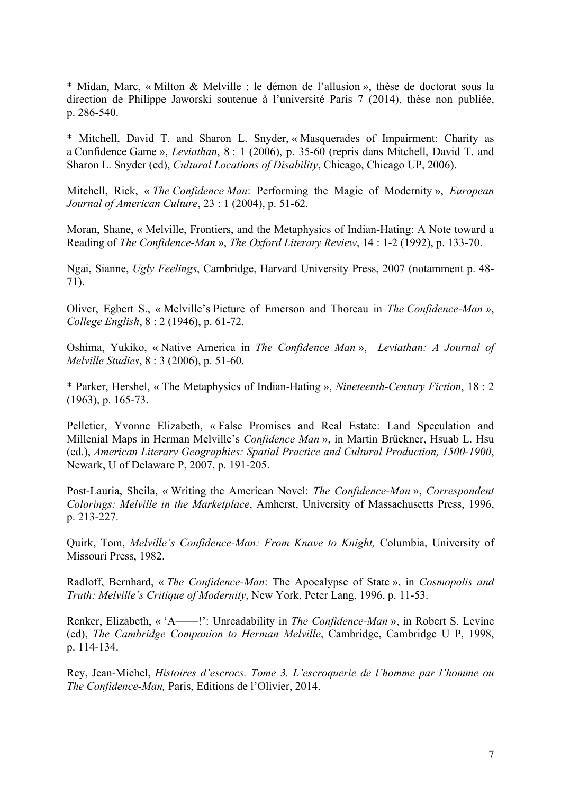\* Midan, Marc, « Milton & Melville : le démon de l'allusion », thèse de doctorat sous la direction de Philippe Jaworski soutenue à l'université Paris 7 (2014), thèse non publiée, p. 286-540.

\* Mitchell, David T. and Sharon L. Snyder, « Masquerades of Impairment: Charity as a Confidence Game », *Leviathan*, 8 : 1 (2006), p. 35-60 (repris dans Mitchell, David T. and Sharon L. Snyder (ed), *Cultural Locations of Disability*, Chicago, Chicago UP, 2006).

Mitchell, Rick, « *The Confidence Man*: Performing the Magic of Modernity », *European Journal of American Culture*, 23 : 1 (2004), p. 51-62.

Moran, Shane, « Melville, Frontiers, and the Metaphysics of Indian-Hating: A Note toward a Reading of *The Confidence-Man* », *The Oxford Literary Review*, 14 : 1-2 (1992), p. 133-70.

Ngai, Sianne, *Ugly Feelings*, Cambridge, Harvard University Press, 2007 (notamment p. 48- 71).

Oliver, Egbert S., « Melville's Picture of Emerson and Thoreau in *The Confidence-Man »*, *College English*, 8 : 2 (1946), p. 61-72.

Oshima, Yukiko, « Native America in *The Confidence Man* », *Leviathan: A Journal of Melville Studies*, 8 : 3 (2006), p. 51-60.

\* Parker, Hershel, « The Metaphysics of Indian-Hating », *Nineteenth-Century Fiction*, 18 : 2 (1963), p. 165-73.

Pelletier, Yvonne Elizabeth, « False Promises and Real Estate: Land Speculation and Millenial Maps in Herman Melville's *Confidence Man* », in Martin Brückner, Hsuab L. Hsu (ed.), *American Literary Geographies: Spatial Practice and Cultural Production, 1500-1900*, Newark, U of Delaware P, 2007, p. 191-205.

Post-Lauria, Sheila, « Writing the American Novel: *The Confidence-Man* », *Correspondent Colorings: Melville in the Marketplace*, Amherst, University of Massachusetts Press, 1996, p. 213-227.

Quirk, Tom, *Melville's Confidence-Man: From Knave to Knight,* Columbia, University of Missouri Press, 1982.

Radloff, Bernhard, « *The Confidence-Man*: The Apocalypse of State », in *Cosmopolis and Truth: Melville's Critique of Modernity*, New York, Peter Lang, 1996, p. 11-53.

Renker, Elizabeth, « 'A——!': Unreadability in *The Confidence-Man* », in Robert S. Levine (ed), *The Cambridge Companion to Herman Melville*, Cambridge, Cambridge U P, 1998, p. 114-134.

Rey, Jean-Michel, *Histoires d'escrocs. Tome 3. L'escroquerie de l'homme par l'homme ou The Confidence-Man,* Paris, Editions de l'Olivier, 2014.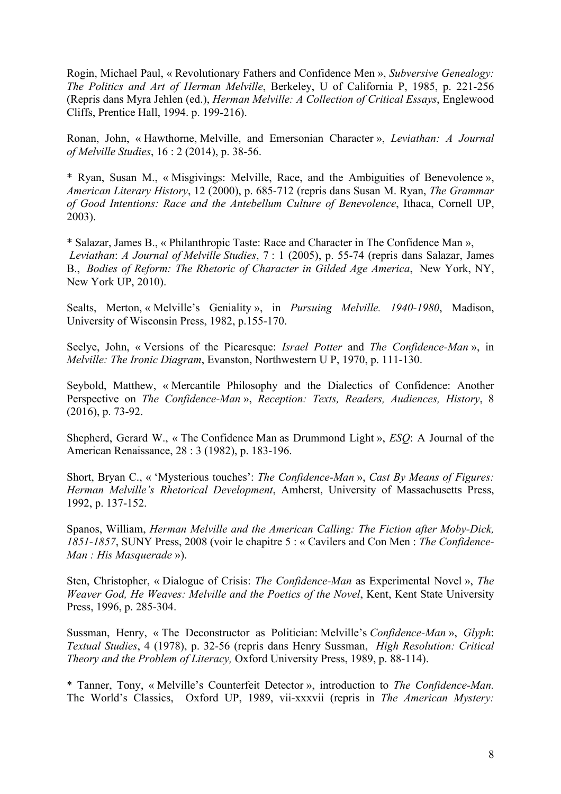Rogin, Michael Paul, « Revolutionary Fathers and Confidence Men », *Subversive Genealogy: The Politics and Art of Herman Melville*, Berkeley, U of California P, 1985, p. 221-256 (Repris dans Myra Jehlen (ed.), *Herman Melville: A Collection of Critical Essays*, Englewood Cliffs, Prentice Hall, 1994. p. 199-216).

Ronan, John, « Hawthorne, Melville, and Emersonian Character », *Leviathan: A Journal of Melville Studies*, 16 : 2 (2014), p. 38-56.

\* Ryan, Susan M., « Misgivings: Melville, Race, and the Ambiguities of Benevolence », *American Literary History*, 12 (2000), p. 685-712 (repris dans Susan M. Ryan, *The Grammar of Good Intentions: Race and the Antebellum Culture of Benevolence*, Ithaca, Cornell UP, 2003).

\* Salazar, James B., « Philanthropic Taste: Race and Character in The Confidence Man », *Leviathan*: *A Journal of Melville Studies*, 7 : 1 (2005), p. 55-74 (repris dans Salazar, James B., *Bodies of Reform: The Rhetoric of Character in Gilded Age America*, New York, NY, New York UP, 2010).

Sealts, Merton, « Melville's Geniality », in *Pursuing Melville. 1940-1980*, Madison, University of Wisconsin Press, 1982, p.155-170.

Seelye, John, « Versions of the Picaresque: *Israel Potter* and *The Confidence-Man* », in *Melville: The Ironic Diagram*, Evanston, Northwestern U P, 1970, p. 111-130.

Seybold, Matthew, « Mercantile Philosophy and the Dialectics of Confidence: Another Perspective on *The Confidence-Man* », *Reception: Texts, Readers, Audiences, History*, 8 (2016), p. 73-92.

Shepherd, Gerard W., « The Confidence Man as Drummond Light », *ESQ*: A Journal of the American Renaissance, 28 : 3 (1982), p. 183-196.

Short, Bryan C., « 'Mysterious touches': *The Confidence-Man* », *Cast By Means of Figures: Herman Melville's Rhetorical Development*, Amherst, University of Massachusetts Press, 1992, p. 137-152.

Spanos, William, *Herman Melville and the American Calling: The Fiction after Moby-Dick, 1851-1857*, SUNY Press, 2008 (voir le chapitre 5 : « Cavilers and Con Men : *The Confidence-Man : His Masquerade* »).

Sten, Christopher, « Dialogue of Crisis: *The Confidence-Man* as Experimental Novel », *The Weaver God, He Weaves: Melville and the Poetics of the Novel*, Kent, Kent State University Press, 1996, p. 285-304.

Sussman, Henry, « The Deconstructor as Politician: Melville's *Confidence-Man* », *Glyph*: *Textual Studies*, 4 (1978), p. 32-56 (repris dans Henry Sussman, *High Resolution: Critical Theory and the Problem of Literacy,* Oxford University Press, 1989, p. 88-114).

\* Tanner, Tony, « Melville's Counterfeit Detector », introduction to *The Confidence-Man.*  The World's Classics, Oxford UP, 1989, vii-xxxvii (repris in *The American Mystery:*